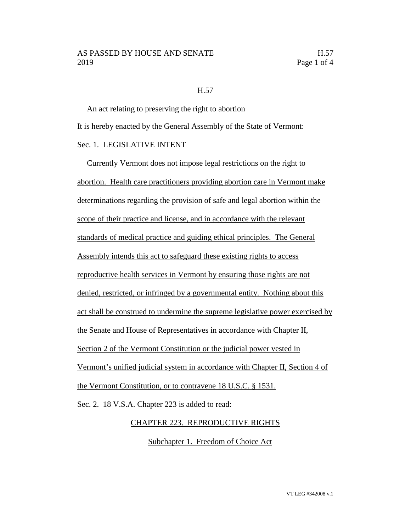### AS PASSED BY HOUSE AND SENATE H.57 2019 Page 1 of 4

#### H.57

An act relating to preserving the right to abortion It is hereby enacted by the General Assembly of the State of Vermont: Sec. 1. LEGISLATIVE INTENT

Currently Vermont does not impose legal restrictions on the right to abortion. Health care practitioners providing abortion care in Vermont make determinations regarding the provision of safe and legal abortion within the scope of their practice and license, and in accordance with the relevant standards of medical practice and guiding ethical principles. The General Assembly intends this act to safeguard these existing rights to access reproductive health services in Vermont by ensuring those rights are not denied, restricted, or infringed by a governmental entity. Nothing about this act shall be construed to undermine the supreme legislative power exercised by the Senate and House of Representatives in accordance with Chapter II, Section 2 of the Vermont Constitution or the judicial power vested in Vermont's unified judicial system in accordance with Chapter II, Section 4 of the Vermont Constitution, or to contravene 18 U.S.C. § 1531.

Sec. 2. 18 V.S.A. Chapter 223 is added to read:

### CHAPTER 223. REPRODUCTIVE RIGHTS

Subchapter 1. Freedom of Choice Act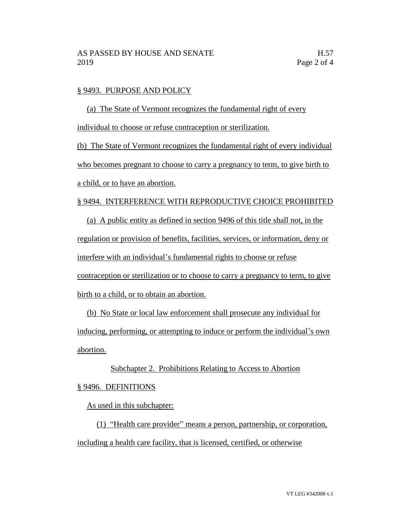#### § 9493. PURPOSE AND POLICY

(a) The State of Vermont recognizes the fundamental right of every individual to choose or refuse contraception or sterilization.

(b) The State of Vermont recognizes the fundamental right of every individual who becomes pregnant to choose to carry a pregnancy to term, to give birth to a child, or to have an abortion.

#### § 9494. INTERFERENCE WITH REPRODUCTIVE CHOICE PROHIBITED

(a) A public entity as defined in section 9496 of this title shall not, in the regulation or provision of benefits, facilities, services, or information, deny or interfere with an individual's fundamental rights to choose or refuse contraception or sterilization or to choose to carry a pregnancy to term, to give birth to a child, or to obtain an abortion.

(b) No State or local law enforcement shall prosecute any individual for inducing, performing, or attempting to induce or perform the individual's own abortion.

# Subchapter 2. Prohibitions Relating to Access to Abortion

## § 9496. DEFINITIONS

As used in this subchapter:

(1) "Health care provider" means a person, partnership, or corporation, including a health care facility, that is licensed, certified, or otherwise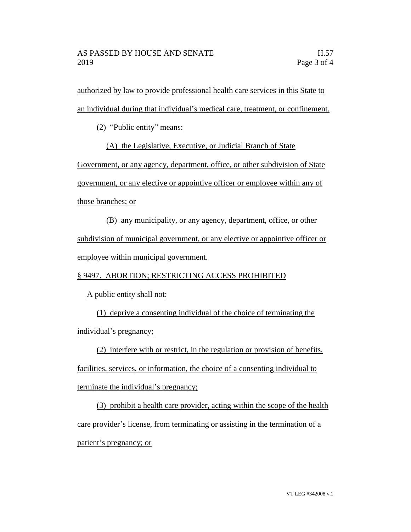authorized by law to provide professional health care services in this State to an individual during that individual's medical care, treatment, or confinement.

(2) "Public entity" means:

(A) the Legislative, Executive, or Judicial Branch of State

Government, or any agency, department, office, or other subdivision of State

government, or any elective or appointive officer or employee within any of

those branches; or

(B) any municipality, or any agency, department, office, or other subdivision of municipal government, or any elective or appointive officer or employee within municipal government.

§ 9497. ABORTION; RESTRICTING ACCESS PROHIBITED

A public entity shall not:

(1) deprive a consenting individual of the choice of terminating the individual's pregnancy;

(2) interfere with or restrict, in the regulation or provision of benefits,

facilities, services, or information, the choice of a consenting individual to terminate the individual's pregnancy;

(3) prohibit a health care provider, acting within the scope of the health care provider's license, from terminating or assisting in the termination of a patient's pregnancy; or